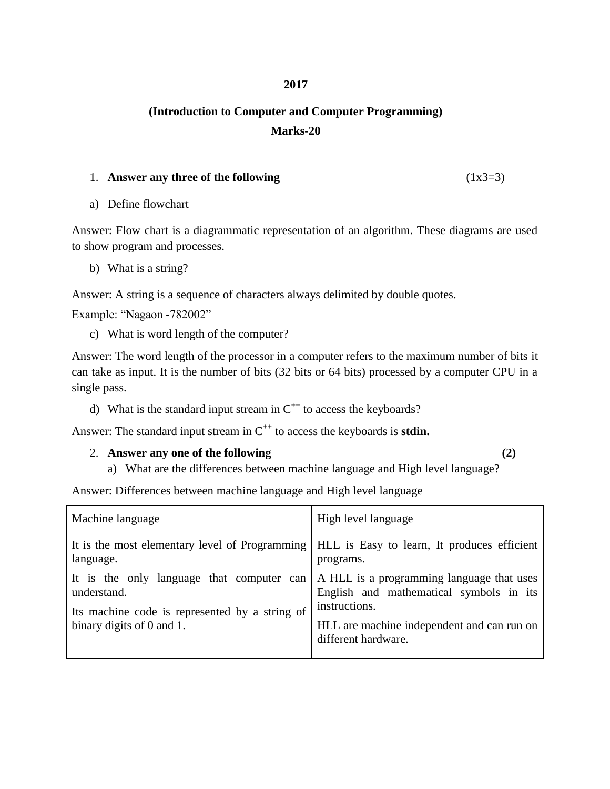### **2017**

# **(Introduction to Computer and Computer Programming) Marks-20**

#### 1. **Answer any three of the following** (1x3=3)

a) Define flowchart

Answer: Flow chart is a diagrammatic representation of an algorithm. These diagrams are used to show program and processes.

b) What is a string?

Answer: A string is a sequence of characters always delimited by double quotes.

Example: "Nagaon -782002"

c) What is word length of the computer?

Answer: The word length of the processor in a computer refers to the maximum number of bits it can take as input. It is the number of bits (32 bits or 64 bits) processed by a computer CPU in a single pass.

d) What is the standard input stream in  $C^{++}$  to access the keyboards?

Answer: The standard input stream in  $C^{++}$  to access the keyboards is **stdin.** 

## 2. **Answer any one of the following (2)**

a) What are the differences between machine language and High level language?

Answer: Differences between machine language and High level language

| Machine language                                                                                          | High level language                                                                  |
|-----------------------------------------------------------------------------------------------------------|--------------------------------------------------------------------------------------|
| It is the most elementary level of Programming   HLL is Easy to learn, It produces efficient<br>language. | programs.                                                                            |
| It is the only language that computer can<br>understand.                                                  | A HLL is a programming language that uses<br>English and mathematical symbols in its |
| Its machine code is represented by a string of<br>binary digits of 0 and 1.                               | instructions.<br>HLL are machine independent and can run on<br>different hardware.   |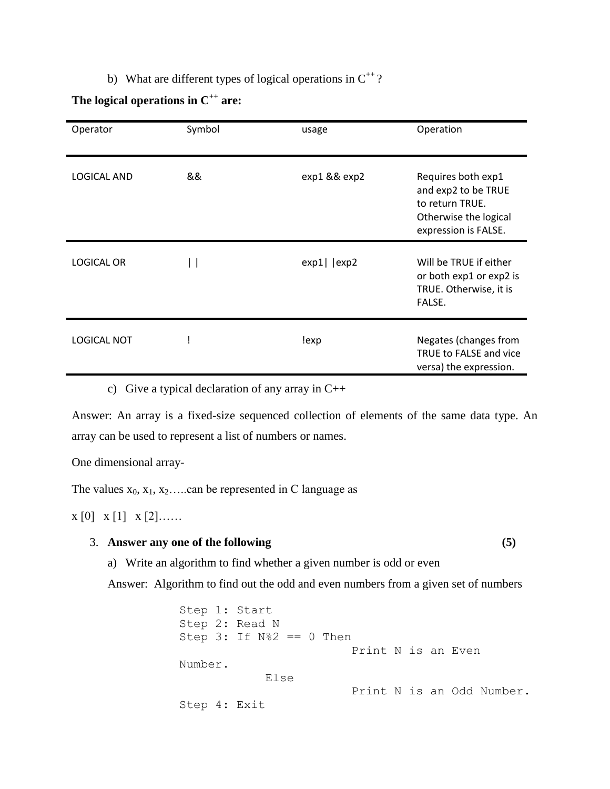b) What are different types of logical operations in  $C^{++}$ ?

## **The logical operations in C++ are:**

| Operator           | Symbol | usage           | Operation                                                                                                     |
|--------------------|--------|-----------------|---------------------------------------------------------------------------------------------------------------|
| <b>LOGICAL AND</b> | &&     | exp1 && exp2    | Requires both exp1<br>and exp2 to be TRUE<br>to return TRUE.<br>Otherwise the logical<br>expression is FALSE. |
| <b>LOGICAL OR</b>  |        | $exp1$   $exp2$ | Will be TRUE if either<br>or both exp1 or exp2 is<br>TRUE. Otherwise, it is<br>FALSE.                         |
| <b>LOGICAL NOT</b> |        | !exp            | Negates (changes from<br>TRUE to FALSE and vice<br>versa) the expression.                                     |

c) Give a typical declaration of any array in  $C++$ 

Answer: An array is a fixed-size sequenced collection of elements of the same data type. An array can be used to represent a list of numbers or names.

One dimensional array-

The values  $x_0, x_1, x_2, \ldots$  can be represented in C language as

 $x [0] x [1] x [2] \ldots$ 

#### 3. **Answer any one of the following (5)**

a) Write an algorithm to find whether a given number is odd or even

Answer: Algorithm to find out the odd and even numbers from a given set of numbers

```
Step 1: Start
Step 2: Read N
Step 3: If N\<sup>2</sup> == 0 Then
                          Print N is an Even 
Number.
             Else
                          Print N is an Odd Number.
Step 4: Exit
```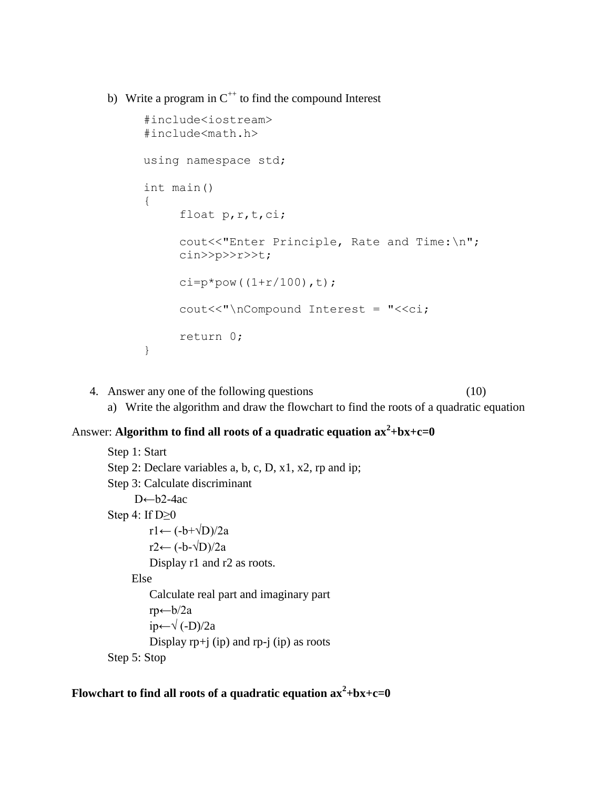b) Write a program in  $C^{++}$  to find the compound Interest

```
#include<iostream>
#include<math.h>
using namespace std;
int main()
{
     float p, r, t, ci;
     cout<<"Enter Principle, Rate and Time: \n";
     cin>>p>>r>>t;
     ci=p*pow((1+r/100),t);
     cout<<"\nCompound Interest = "<<ci;
     return 0;
}
```
4. Answer any one of the following questions (10) a) Write the algorithm and draw the flowchart to find the roots of a quadratic equation

# Answer: **Algorithm to find all roots of a quadratic equation ax<sup>2</sup> +bx+c=0**

```
Step 1: Start
Step 2: Declare variables a, b, c, D, x1, x2, rp and ip;
Step 3: Calculate discriminant
      D←b2-4ac
Step 4: If D \geq 0r1← (-b+\sqrt{D})/2ar2← (-b-\sqrt{D}/2a Display r1 and r2 as roots.
      Else 
          Calculate real part and imaginary part
          rp←b/2a
          ip←√ (-D)/2a
         Display rp+j (ip) and rp-j (ip) as roots
Step 5: Stop
```
Flowchart to find all roots of a quadratic equation  $ax^2 + bx + c = 0$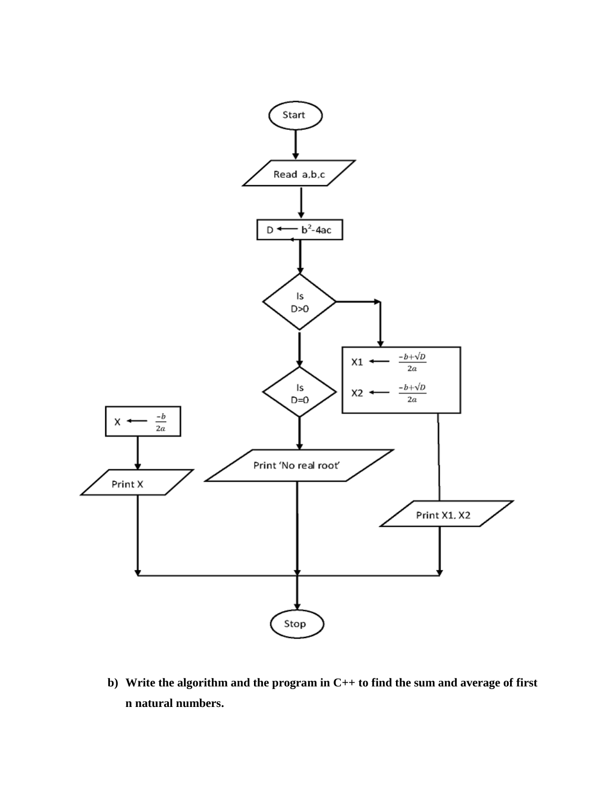

**b) Write the algorithm and the program in C++ to find the sum and average of first n natural numbers.**